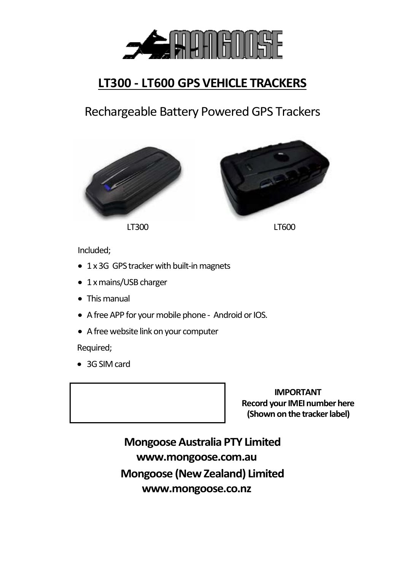

# **LT300 - LT600 GPS VEHICLE TRACKERS**

Rechargeable Battery PoweredGPS Trackers







Included;

- 1 x 3G GPS tracker with built-in magnets
- 1 x mains/USB charger
- This manual
- A freeAPP for your mobile phone Android or IOS.
- A free website link onyour computer

Required;

• 3G SIM card

 **IMPORTANT Record your IMEI number here (Shown on the tracker label)**

**Mongoose Australia PTY Limited www.mongoose.com.au Mongoose (New Zealand) Limited www.mongoose.co.nz**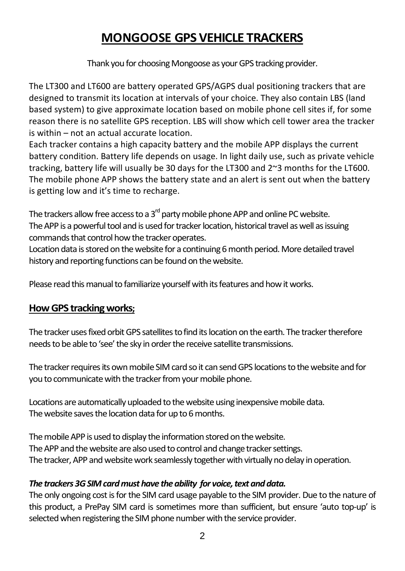# **MONGOOSE GPS VEHICLE TRACKERS**

Thank you for choosing Mongoose as your GPS tracking provider.

The LT300 and LT600 are battery operated GPS/AGPS dual positioning trackers that are designed to transmit its location at intervals of your choice. They also contain LBS (land based system) to give approximate location based on mobile phone cell sites if, for some reason there is no satellite GPS reception. LBS will show which cell tower area the tracker is within – not an actual accurate location.

Each tracker contains a high capacity battery and the mobile APP displays the current battery condition. Battery life depends on usage. In light daily use, such as private vehicle tracking, battery life will usually be 30 days for the LT300 and 2~3 months for the LT600. The mobile phone APP shows the battery state and an alert is sent out when the battery is getting low and it's time to recharge.

The trackers allow free access to a  $3<sup>rd</sup>$  party mobile phone APP and online PC website. The APP is a powerful tool and is used for tracker location, historical travel as well as issuing commands that control how the tracker operates.

Location data is stored on the website for a continuing 6 month period. More detailed travel history and reporting functions can be found on the website.

Please read this manual to familiarize yourself with its features and how it works.

### **How GPS tracking works;**

The tracker uses fixed orbit GPS satellites to findits location on the earth. The tracker therefore needs to be able to 'see' the sky in order the receive satellite transmissions.

The tracker requires its own mobile SIM card so it can send GPS locations to the website and for you to communicate with the tracker from your mobile phone.

Locations are automatically uploaded to the website using inexpensive mobile data. The website saves the location data for up to 6 months.

The mobile APP is used to display the information stored on the website. The APP and the website are also used to control and change tracker settings. The tracker, APP and website work seamlessly together with virtually no delay in operation.

#### *The trackers 3G SIM card must have the ability for voice, text and data.*

The only ongoing cost is for the SIM card usage payable to the SIM provider. Due to the nature of this product, a PrePay SIM card is sometimes more than sufficient, but ensure 'auto top-up' is selected when registering the SIM phone number with the service provider.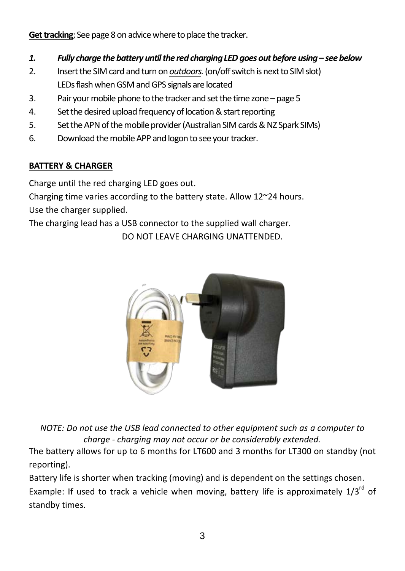**Get tracking**; See page 8 on advice where to place the tracker.

- *1. Fully charge the battery until the red charging LED goes outbefore using– see below*
- 2. Insert the SIM cardand turn on *outdoors.* (on/off switch is next to SIM slot) LEDsflash whenGSM and GPS signals are located
- 3. Pair your mobile phone to the tracker and set the time zone page 5
- 4. Set the desired upload frequency of location & start reporting
- 5. Set the APN of the mobile provider (Australian SIM cards & NZ Spark SIMs)
- 6. Download the mobile APP and logon to see your tracker.

### **BATTERY & CHARGER**

Charge until the red charging LED goes out.

Charging time varies according to the battery state. Allow 12~24 hours. Use the charger supplied.

The charging lead has a USB connector to the supplied wall charger. DO NOT LEAVE CHARGING UNATTENDED.



*NOTE: Do not use the USB lead connected to other equipment such as a computer to charge - charging may not occur or be considerably extended.*

The battery allows for up to 6 months for LT600 and 3 months for LT300 on standby (not reporting).

Battery life is shorter when tracking (moving) and is dependent on the settings chosen. Example: If used to track a vehicle when moving, battery life is approximately 1/3<sup>rd</sup> of standby times.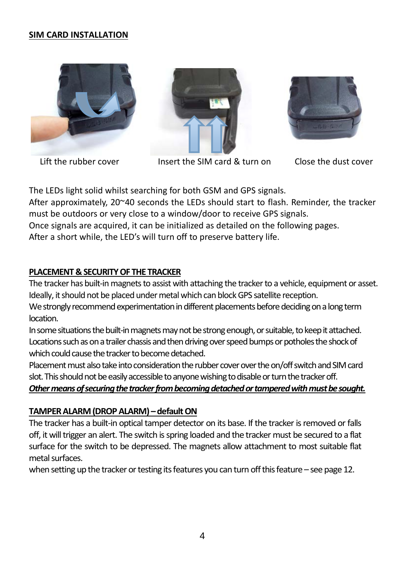#### **SIM CARD INSTALLATION**







Lift the rubber cover Insert the SIM card & turn on Close the dust cover



The LEDs light solid whilst searching for both GSM and GPS signals. After approximately, 20~40 seconds the LEDs should start to flash. Reminder, the tracker must be outdoors or very close to a window/door to receive GPS signals.

Once signals are acquired, it can be initialized as detailed on the following pages.

After a short while, the LED's will turn off to preserve battery life.

#### **PLACEMENT & SECURITY OF THE TRACKER**

The tracker has built-in magnets to assist with attaching the tracker to a vehicle, equipment or asset. Ideally, it should not be placed under metal which can block GPS satellite reception. We strongly recommend experimentation in different placements before deciding on a long term

location.

In some situations the built-in magnets may not be strong enough, or suitable, to keep it attached. Locations such as on a trailer chassis and then driving over speed bumps or potholes the shock of which could cause the tracker to become detached.

Placement must also take into consideration the rubber cover overthe on/off switch and SIM card slot. This should not be easily accessible to anyone wishing to disable or turn the trackeroff.

#### *Other means of securing the tracker from becoming detached or tampered with must be sought.*

#### **TAMPER ALARM (DROP ALARM) –default ON**

The tracker has a built-in optical tamper detector on its base. If the tracker is removed or falls off, it will trigger an alert. The switch is spring loaded and the tracker must be secured to a flat surface for the switch to be depressed. The magnets allow attachment to most suitable flat metal surfaces.

when setting up the tracker or testing its features you can turn off this feature – see page 12.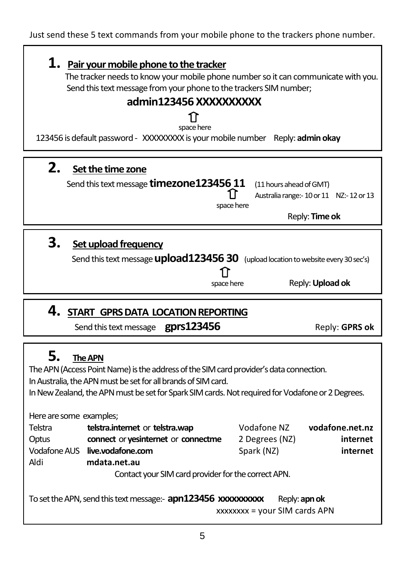Just send these 5 text commands from your mobile phone to the trackers phone number.

# **1. Pair your mobile phone to the tracker**

 The tracker needs to know your mobile phone number so it can communicate with you. Send this text message from your phone to the trackers SIM number;

# **admin123456 XXXXXXXXXX**

#### าา space here

123456 is default password - XXXXXXXXX is your mobile number Reply: **admin okay**

# **2. Set the time zone**

| Send this text message timezone 123456 11 (11 hours ahead of GMT) |  |
|-------------------------------------------------------------------|--|
|-------------------------------------------------------------------|--|

Australia range:- 10 or 11 NZ:-12 or 13

space here

Reply: **Time ok**

# **3. Set upload frequency**

Send this text message **upload123456 30** (upload location to website every 30 sec's) 1ì space here Reply: **Upload ok**

# **4. START GPRS DATA LOCATION REPORTING**

 **Send this text message gprs123456 Reply: GPRS ok** 

# **5. TheAPN**

The APN (Access Point Name) is the address of the SIM card provider's data connection.

In Australia, the APN must be set for all brands of SIM card.

In New Zealand, the APN must be set for Spark SIM cards. Not required for Vodafone or 2 Degrees.

Here are some examples;

| Telstra                                             | telstra.internet or telstra.wap     | Vodafone NZ    | vodafone.net.nz |
|-----------------------------------------------------|-------------------------------------|----------------|-----------------|
| Optus                                               | connect or yesinternet or connectme | 2 Degrees (NZ) | internet        |
| Vodafone AUS                                        | live.vodafone.com                   | Spark (NZ)     | internet        |
| Aldi                                                | mdata.net.au                        |                |                 |
| Contact your SIM card provider for the correct APN. |                                     |                |                 |

To set the APN, send this text message:- **apn123456 xxxxxxxxx** Reply: **apn ok** xxxxxxxx = your SIM cards APN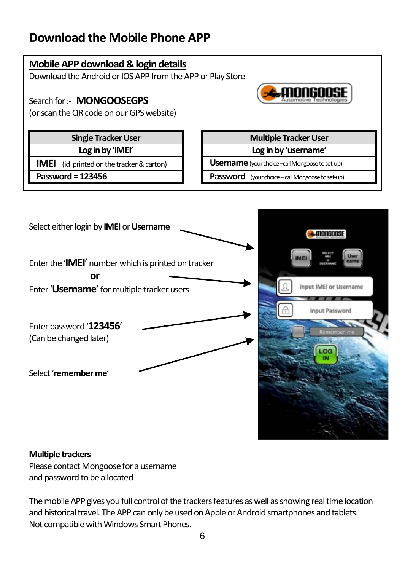# **Download the Mobile Phone APP**





#### **Multiple trackers**

Please contact Mongoose for a username and password to be allocated

The mobile APP gives you full control of the trackers features as well as showing real time location and historical travel. The APP can only be used on Apple or Android smartphones and tablets. Not compatible with Windows Smart Phones.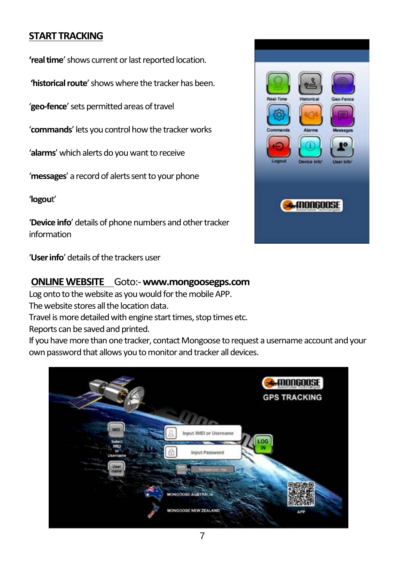### **START TRACKING**

**'real time**' shows current or last reported location.

**'historical route**' showswhere the tracker has been.

'**geo-fence**' sets permitted areas of travel

'**commands**' lets you control how the tracker works

'**alarms**' which alerts do you want to receive

'**messages**' a record of alerts sent to your phone

'**logou**t'

'**Device info**' details of phone numbers and other tracker information

'**User info**' details of the trackers user

#### **ONLINE WEBSITE** Goto:-**www.mongoosegps.com**

Log onto to the website as you would for the mobile APP. The website stores all the location data. Travel is more detailed with engine start times, stop times etc. Reports can be saved and printed. If you have more than one tracker, contact Mongoose to request a username account and your own password that allows you to monitor and tracker all devices.



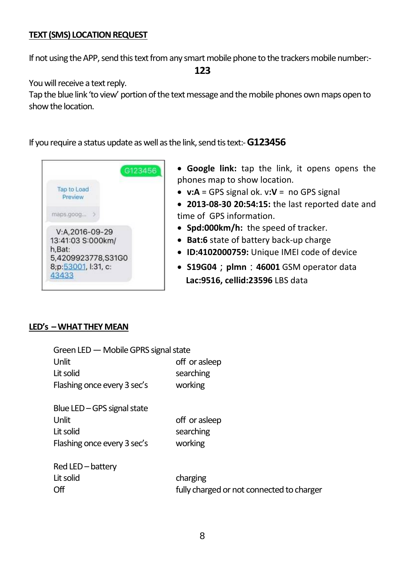#### **TEXT (SMS) LOCATION REQUEST**

If not using the APP, send this text from any smart mobile phone to the trackers mobile number:-

**123**

You will receive a text reply.

Tap the blue link 'to view' portion of the text message and the mobile phones own maps open to show the location.

If you require a status update as well as the link, send tis text:-**G123456**



- **Google link:** tap the link, it opens opens the phones map to show location.
- **v:A** = GPS signal ok. v**:V** = no GPS signal
- **2013-08-30 20:54:15:** the last reported date and time of GPS information.
- **Spd:000km/h:** the speed of tracker.
- **Bat:6** state of battery back-up charge
- **ID:4102000759:** Unique IMEI code of device
- **S19G04**;**plmn**:**46001** GSM operator data  **Lac:9516, cellid:23596** LBS data

#### **LED's –WHAT THEY MEAN**

| Green LED - Mobile GPRS signal state |                                           |
|--------------------------------------|-------------------------------------------|
| Unlit                                | off or asleep                             |
| Lit solid                            | searching                                 |
| Flashing once every 3 sec's          | working                                   |
| Blue LED - GPS signal state          |                                           |
| Unlit                                | off or asleep                             |
| Lit solid                            | searching                                 |
| Flashing once every 3 sec's          | working                                   |
| Red LED-battery                      |                                           |
| Lit solid                            | charging                                  |
| Off                                  | fully charged or not connected to charger |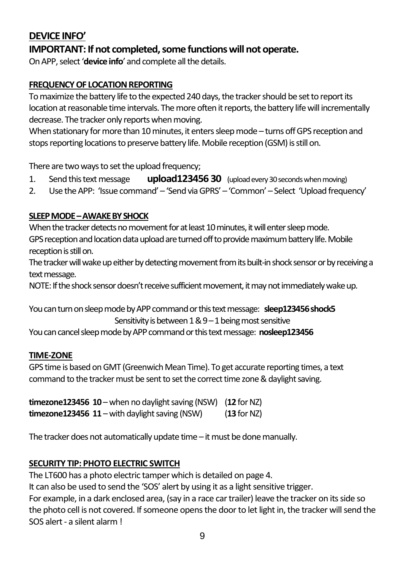### **DEVICE INFO'**

### **IMPORTANT: If not completed, some functions will not operate.**

On APP, select '**device info**' and complete all the details.

#### **FREQUENCY OF LOCATION REPORTING**

To maximize the battery life to the expected 240 days, the tracker should be set to report its location at reasonable time intervals. The more often it reports, the battery life will incrementally decrease. The tracker only reports when moving.

When stationary for more than 10 minutes, it enters sleep mode – turns off GPS reception and stops reporting locations to preservebattery life.Mobile reception (GSM) is still on.

There are two ways to set the upload frequency;

- 1. Send this text message **upload123456 30** (upload every 30seconds when moving)
- 2. Use the APP: 'Issue command' 'Send via GPRS' –'Common' Select 'Upload frequency'

#### **SLEEP MODE–AWAKE BY SHOCK**

When the tracker detects no movement for at least 10 minutes, it will enter sleep mode. GPS reception and location data upload are turned off to provide maximum battery life.Mobile reception is still on.

The tracker will wake up either by detecting movement from its built-in shock sensor or by receiving a text message.

NOTE: If the shock sensor doesn't receive sufficient movement, it may not immediately wake up.

You can turn on sleep mode by APP command or this text message: **sleep123456 shock5** Sensitivity is between 1 & 9 –1 being most sensitive

You can cancel sleep mode by APP command or this text message: **nosleep123456**

#### **TIME-ZONE**

GPS time is based on GMT (Greenwich Mean Time). To get accurate reporting times, a text command to the tracker must be sent to set the correct time zone & daylight saving.

**timezone123456 10** – when no daylight saving (NSW) (**12** for NZ) **timezone123456 11** – with daylight saving (NSW) (**13** for NZ)

The tracker does not automatically update time –it must be done manually.

#### **SECURITY TIP: PHOTO ELECTRIC SWITCH**

The LT600 has a photo electric tamper which is detailed on page 4. It can also be used to send the 'SOS' alert by using it as a light sensitive trigger. For example, in a dark enclosed area, (say in a race car trailer) leave the tracker on its side so the photo cell is not covered. If someone opens the door to let light in, the tracker will send the SOS alert - a silent alarm !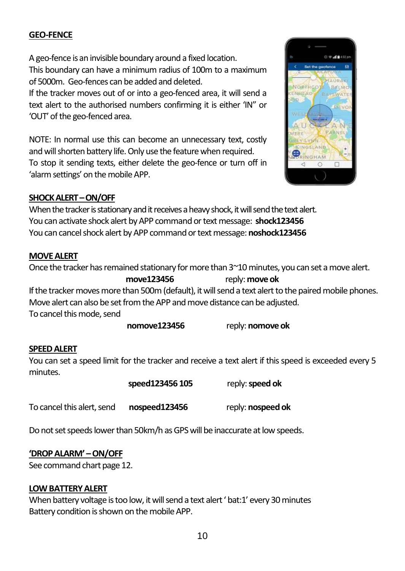#### **GEO-FENCE**

A geo-fence is an invisible boundary around a fixed location. This boundary can have a minimum radius of 100m to a maximum of 5000m. Geo-fences can be added and deleted.

If the tracker moves out of or into a geo-fenced area, it will send a text alert to the authorised numbers confirming it is either 'IN" or 'OUT' of the geo-fenced area.

NOTE: In normal use this can become an unnecessary text, costly and will shorten battery life. Only use the feature when required. To stop it sending texts, either delete the geo-fence or turn off in 'alarm settings' on the mobile APP.



#### **SHOCK ALERT –ON/OFF**

When the tracker is stationary and it receives a heavy shock, it will send the text alert. You canactivate shock alert by APP command or text message: **shock123456** You can cancel shock alert by APP command or text message:**noshock123456**

#### **MOVE ALERT**

Once the tracker has remained stationary for more than 3~10 minutes, you can set a move alert.

**move123456** reply:**move ok** If the tracker moves more than 500m (default), it will send a text alert to the paired mobile phones. Move alert can also be set from the APP and move distance can be adjusted.

To cancel this mode, send

**nomove123456** reply: **nomove ok**

#### **SPEED ALERT**

You can set a speed limit for the tracker and receive a text alert if this speed is exceeded every 5 minutes.

 **speed123456 105** reply: **speed ok**

To cancel this alert, send **nospeed123456** reply: **nospeed ok**

Do not set speeds lower than 50km/h as GPS will be inaccurate at low speeds.

#### **'DROP ALARM' –ON/OFF**

See command chart page 12.

#### **LOW BATTERY ALERT**

When battery voltage is too low, it will send a text alert ' bat:1' every 30 minutes Battery condition is shown on the mobile APP.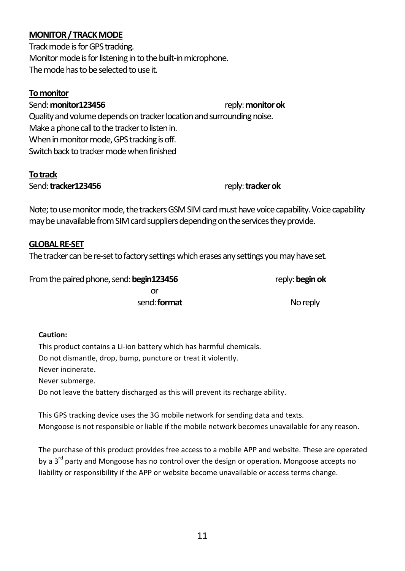#### **MONITOR / TRACK MODE**

Track mode is for GPS tracking. Monitor mode is for listening in to the built-in microphone. The mode has to be selected to use it.

#### **To monitor**

Send: **monitor123456** reply: **monitor ok** Quality and volume depends on tracker location and surrounding noise. Make a phone call to the tracker to listen in. When in monitor mode, GPS tracking is off. Switch back to tracker mode when finished

#### **To track**

Send: **tracker123456** reply: **tracker ok** 

Note; to use monitor mode, the trackers GSM SIM card must have voice capability. Voice capability may be unavailable from SIM card suppliers depending on the services they provide.

#### **GLOBAL RE-SET**

The tracker can be re-set to factory settings which erases any settings you may have set.

From the paired phone, send: **begin123456** reply: **begin ok or** *or all the state of the state of the state of the state of the state of the state of the state of the state of the state of the state of the state of the state of the state of the state of the state of the state of t* send: **format** No reply

#### **Caution:**

This product contains a Li-ion battery which has harmful chemicals. Do not dismantle, drop, bump, puncture or treat it violently. Never incinerate. Never submerge.

Do not leave the battery discharged as this will prevent its recharge ability.

This GPS tracking device uses the 3G mobile network for sending data and texts. Mongoose is not responsible or liable if the mobile network becomes unavailable for any reason.

The purchase of this product provides free access to a mobile APP and website. These are operated by a 3<sup>rd</sup> party and Mongoose has no control over the design or operation. Mongoose accepts no liability or responsibility if the APP or website become unavailable or access terms change.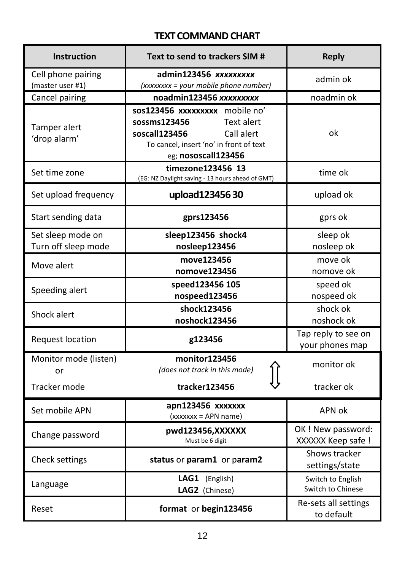### **TEXT COMMAND CHART**

| <b>Instruction</b>                       | Text to send to trackers SIM #                                                                                                                                | <b>Reply</b>                             |
|------------------------------------------|---------------------------------------------------------------------------------------------------------------------------------------------------------------|------------------------------------------|
| Cell phone pairing<br>(master user #1)   | admin123456 xxxxxxxxx<br>(xxxxxxx = your mobile phone number)                                                                                                 | admin ok                                 |
| Cancel pairing                           | noadmin123456 xxxxxxxxx                                                                                                                                       | noadmin ok                               |
| Tamper alert<br>'drop alarm'             | sos123456 xxxxxxxxx mobile no'<br>sossms123456<br>Text alert<br>soscall123456<br>Call alert<br>To cancel, insert 'no' in front of text<br>eg; nososcall123456 | ok                                       |
| Set time zone                            | timezone123456 13<br>(EG: NZ Daylight saving - 13 hours ahead of GMT)                                                                                         | time ok                                  |
| Set upload frequency                     | upload12345630                                                                                                                                                | upload ok                                |
| Start sending data                       | gprs123456                                                                                                                                                    | gprs ok                                  |
| Set sleep mode on<br>Turn off sleep mode | sleep123456 shock4<br>nosleep123456                                                                                                                           | sleep ok<br>nosleep ok                   |
| Move alert                               | move123456<br>nomove123456                                                                                                                                    | move ok<br>nomove ok                     |
| Speeding alert                           | speed123456 105<br>nospeed123456                                                                                                                              | speed ok<br>nospeed ok                   |
| Shock alert                              | shock123456<br>noshock123456                                                                                                                                  | shock ok<br>noshock ok                   |
| <b>Request location</b>                  | g123456                                                                                                                                                       | Tap reply to see on<br>your phones map   |
| Monitor mode (listen)<br>or              | monitor123456<br>(does not track in this mode)                                                                                                                | monitor ok                               |
| Tracker mode                             | tracker123456                                                                                                                                                 | tracker ok                               |
| Set mobile APN                           | apn123456 xxxxxxx<br>(xxxxxx = APN name)                                                                                                                      | APN ok                                   |
| Change password                          | pwd123456,XXXXXX<br>Must be 6 digit                                                                                                                           | OK ! New password:<br>XXXXXX Keep safe ! |
| Check settings                           | status or param1 or param2                                                                                                                                    | Shows tracker<br>settings/state          |
| Language                                 | LAG1 (English)<br>LAG2 (Chinese)                                                                                                                              | Switch to English<br>Switch to Chinese   |
| Reset                                    | format or begin123456                                                                                                                                         | Re-sets all settings<br>to default       |